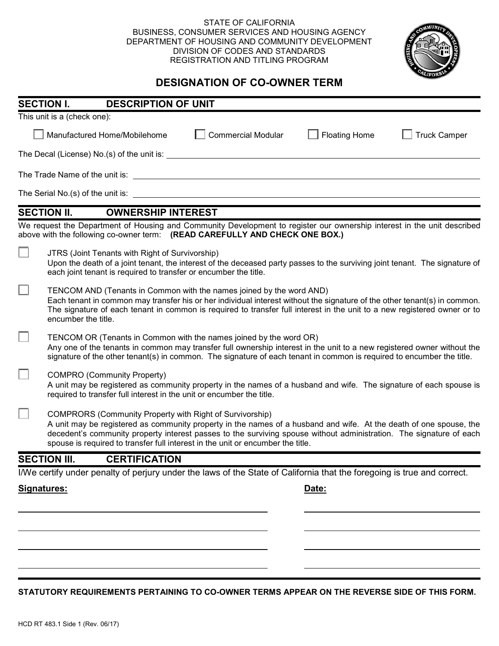## STATE OF CALIFORNIA BUSINESS, CONSUMER SERVICES AND HOUSING AGENCY DEPARTMENT OF HOUSING AND COMMUNITY DEVELOPMENT DIVISION OF CODES AND STANDARDS REGISTRATION AND TITLING PROGRAM



## **DESIGNATION OF CO-OWNER TERM**

|             | <b>SECTION I.</b>                                                                                                                                                                                                                                                                                                                                                                               | <b>DESCRIPTION OF UNIT</b> |                                                                                                                         |  |                      |                                                                                                                         |
|-------------|-------------------------------------------------------------------------------------------------------------------------------------------------------------------------------------------------------------------------------------------------------------------------------------------------------------------------------------------------------------------------------------------------|----------------------------|-------------------------------------------------------------------------------------------------------------------------|--|----------------------|-------------------------------------------------------------------------------------------------------------------------|
|             | This unit is a (check one):                                                                                                                                                                                                                                                                                                                                                                     |                            |                                                                                                                         |  |                      |                                                                                                                         |
|             | Manufactured Home/Mobilehome                                                                                                                                                                                                                                                                                                                                                                    |                            | <b>Commercial Modular</b>                                                                                               |  | <b>Floating Home</b> | <b>Truck Camper</b>                                                                                                     |
|             |                                                                                                                                                                                                                                                                                                                                                                                                 |                            |                                                                                                                         |  |                      |                                                                                                                         |
|             |                                                                                                                                                                                                                                                                                                                                                                                                 |                            |                                                                                                                         |  |                      |                                                                                                                         |
|             |                                                                                                                                                                                                                                                                                                                                                                                                 |                            |                                                                                                                         |  |                      |                                                                                                                         |
|             | <b>SECTION II.</b>                                                                                                                                                                                                                                                                                                                                                                              | <b>OWNERSHIP INTEREST</b>  |                                                                                                                         |  |                      |                                                                                                                         |
|             |                                                                                                                                                                                                                                                                                                                                                                                                 |                            | above with the following co-owner term: (READ CAREFULLY AND CHECK ONE BOX.)                                             |  |                      | We request the Department of Housing and Community Development to register our ownership interest in the unit described |
|             | JTRS (Joint Tenants with Right of Survivorship)<br>Upon the death of a joint tenant, the interest of the deceased party passes to the surviving joint tenant. The signature of<br>each joint tenant is required to transfer or encumber the title.                                                                                                                                              |                            |                                                                                                                         |  |                      |                                                                                                                         |
|             | TENCOM AND (Tenants in Common with the names joined by the word AND)<br>Each tenant in common may transfer his or her individual interest without the signature of the other tenant(s) in common.<br>The signature of each tenant in common is required to transfer full interest in the unit to a new registered owner or to<br>encumber the title.                                            |                            |                                                                                                                         |  |                      |                                                                                                                         |
|             | TENCOM OR (Tenants in Common with the names joined by the word OR)<br>Any one of the tenants in common may transfer full ownership interest in the unit to a new registered owner without the<br>signature of the other tenant(s) in common. The signature of each tenant in common is required to encumber the title.                                                                          |                            |                                                                                                                         |  |                      |                                                                                                                         |
|             | <b>COMPRO (Community Property)</b><br>A unit may be registered as community property in the names of a husband and wife. The signature of each spouse is<br>required to transfer full interest in the unit or encumber the title.                                                                                                                                                               |                            |                                                                                                                         |  |                      |                                                                                                                         |
|             | <b>COMPRORS (Community Property with Right of Survivorship)</b><br>A unit may be registered as community property in the names of a husband and wife. At the death of one spouse, the<br>decedent's community property interest passes to the surviving spouse without administration. The signature of each<br>spouse is required to transfer full interest in the unit or encumber the title. |                            |                                                                                                                         |  |                      |                                                                                                                         |
|             | <b>SECTION III.</b>                                                                                                                                                                                                                                                                                                                                                                             | <b>CERTIFICATION</b>       |                                                                                                                         |  |                      |                                                                                                                         |
|             |                                                                                                                                                                                                                                                                                                                                                                                                 |                            | I/We certify under penalty of perjury under the laws of the State of California that the foregoing is true and correct. |  |                      |                                                                                                                         |
| Signatures: |                                                                                                                                                                                                                                                                                                                                                                                                 |                            |                                                                                                                         |  | Date:                |                                                                                                                         |
|             |                                                                                                                                                                                                                                                                                                                                                                                                 |                            |                                                                                                                         |  |                      |                                                                                                                         |
|             |                                                                                                                                                                                                                                                                                                                                                                                                 |                            |                                                                                                                         |  |                      |                                                                                                                         |
|             |                                                                                                                                                                                                                                                                                                                                                                                                 |                            |                                                                                                                         |  |                      |                                                                                                                         |
|             |                                                                                                                                                                                                                                                                                                                                                                                                 |                            |                                                                                                                         |  |                      |                                                                                                                         |
|             |                                                                                                                                                                                                                                                                                                                                                                                                 |                            |                                                                                                                         |  |                      |                                                                                                                         |

**STATUTORY REQUIREMENTS PERTAINING TO CO-OWNER TERMS APPEAR ON THE REVERSE SIDE OF THIS FORM.**